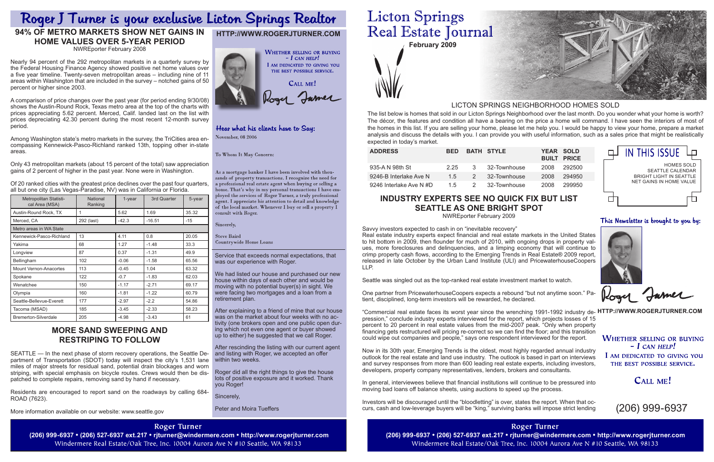| <b>ADDRESS</b>          | <b>BED</b> |               | <b>BATH STYLE</b> | YEAR SOLD | <b>BUILT PRICE</b> |
|-------------------------|------------|---------------|-------------------|-----------|--------------------|
| 935-A N 98th St         | 2.25       | 3             | 32-Townhouse      | 2008      | 292500             |
| 9246-B Interlake Ave N  | 1.5        | $\mathcal{P}$ | 32-Townhouse      | 2008      | 294950             |
| 9246 Interlake Ave N #D | 1.5        | $\mathcal{P}$ | 32-Townhouse      | 2008      | 299950             |

**February 2009**



Service that exceeds normal expectations, that was our experience with Roger.

We had listed our house and purchased our new house within days of each other and would be moving with no potential buyer(s) in sight. We were facing two mortgages and a loan from a retirement plan.

After explaining to a friend of mine that our house was on the market about four weeks with no activity (one brokers open and one public open during which not even one agent or buyer showed up to either) he suggested that we call Roger.

After rescinding the listing with our current agent and listing with Roger, we accepted an offer within two weeks.

Roger did all the right things to give the house lots of positive exposure and it worked. Thank you Roger!

Sincerely,

Peter and Moira Tueffers

# **Licton Springs** Real Estate Journal

The list below is homes that sold in our Licton Springs Neighborhood over the last month. Do you wonder what your home is worth? The décor, the features and condition all have a bearing on the price a home will command. I have seen the interiors of most of the homes in this list. If you are selling your home, please let me help you. I would be happy to view your home, prepare a market analysis and discuss the details with you. I can provide you with useful information, such as a sales price that might be realistically expected in today's market.

# LICTON SPRINGS NEIGHBORHOOD HOMES SOLD

# **http://www.rogerjturner.com**



# Hear what his clients have to Say:

November, 08 2006

To Whom It May Concern:

As a mortgage banker I have been involved with thousands of property transactions. I recognize the need for a professional real estate agent when buying or selling a home. That's why in my personal transactions I have employed the services of Roger Turner, a truly professional agent. I appreciate his attention to detail and knowledge of the local market. Whenever I buy or sell a property I consult with Roger.

Sincerely,

**Steve Baird** 

**Countrywide Home Loans** 

(206) 999-6937

# **Industry experts see no quick fix but list Seattle as one bright spot**

NWREporter February 2009

Savvy investors expected to cash in on "inevitable recovery" Real estate industry experts expect financial and real estate markets in the United States to hit bottom in 2009, then flounder for much of 2010, with ongoing drops in property values, more foreclosures and delinquencies, and a limping economy that will continue to crimp property cash flows, according to the Emerging Trends in Real Estate® 2009 report, released in late October by the Urban Land Institute (ULI) and PricewaterhouseCoopers LLP.

Seattle was singled out as the top-ranked real estate investment market to watch.

One partner from PricewaterhouseCoopers expects a rebound "but not anytime soon." Patient, disciplined, long-term investors will be rewarded, he declared.

"Commercial real estate faces its worst year since the wrenching 1991-1992 industry de- **HTTP://WWW.ROGERJTURNER.COM** pression," conclude industry experts interviewed for the report, which projects losses of 15 percent to 20 percent in real estate values from the mid-2007 peak. "Only when property financing gets restructured will pricing re-correct so we can find the floor; and this transition could wipe out companies and people," says one respondent interviewed for the report. **WHETHER SELLING OR BUYING** 

Now in its 30th year, Emerging Trends is the oldest, most highly regarded annual industry outlook for the real estate and land use industry. The outlook is based in part on interviews and survey responses from more than 600 leading real estate experts, including investors, developers, property company representatives, lenders, brokers and consultants.

In general, interviewees believe that financial institutions will continue to be pressured into moving bad loans off balance sheets, using auctions to speed up the process.

Investors will be discouraged until the "bloodletting" is over, states the report. When that occurs, cash and low-leverage buyers will be "king," surviving banks will impose strict lending

**Roger Turner** Windermere Real Estate/Oak Tree, Inc. 10004 Aurora Ave N #10 Seattle, WA 98133



# Roger J Turner is your exclusive Licton Springs Realtor

# **94% of Metro Markets Show Net Gains in Home Values over 5-Year Period**

NWREporter February 2008

Nearly 94 percent of the 292 metropolitan markets in a quarterly survey by the Federal Housing Finance Agency showed positive net home values over a five year timeline. Twenty-seven metropolitan areas – including nine of 11 areas within Washington that are included in the survey – notched gains of 50 percent or higher since 2003.

A comparison of price changes over the past year (for period ending 9/30/08) shows the Austin-Round Rock, Texas metro area at the top of the charts with prices appreciating 5.62 percent. Merced, Calif. landed last on the list with prices depreciating 42.30 percent during the most recent 12-month survey period.

Among Washington state's metro markets in the survey, the TriCities area encompassing Kennewick-Pasco-Richland ranked 13th, topping other in-state areas.

Only 43 metropolitan markets (about 15 percent of the total) saw appreciation gains of 2 percent of higher in the past year. None were in Washington.

Of 20 ranked cities with the greatest price declines over the past four quarters, all but one city (Las Vegas-Paradise, NV) was in California or Florida.

| Metropolitan Statisti-<br>cal Area (MSA) | <b>National</b><br>Ranking | $1$ -year | 3rd Quarter | 5-year |  |  |  |
|------------------------------------------|----------------------------|-----------|-------------|--------|--|--|--|
| Austin-Round Rock, TX                    | 1                          | 5.62      | 1.69        | 35.32  |  |  |  |
| Merced, CA                               | 292 (last)                 | $-42.3$   | $-16.51$    | -15    |  |  |  |
| Metro areas in WA State                  |                            |           |             |        |  |  |  |
| Kennewick-Pasco-Richland                 | 13                         | 4.11      | 0.8         | 20.05  |  |  |  |
| Yakima                                   | 68                         | 1.27      | $-1.48$     | 33.3   |  |  |  |
| Longview                                 | 87                         | 0.37      | $-1.31$     | 49.9   |  |  |  |
| Bellingham                               | 102                        | $-0.06$   | $-1.58$     | 65.56  |  |  |  |
| <b>Mount Vernon-Anacortes</b>            | 113                        | $-0.45$   | 1.04        | 63.32  |  |  |  |
| Spokane                                  | 122                        | $-0.7$    | $-1.83$     | 62.03  |  |  |  |
| Wenatchee                                | 150                        | $-1.17$   | $-2.71$     | 69.17  |  |  |  |
| Olympia                                  | 160                        | $-1.81$   | $-1.22$     | 60.79  |  |  |  |
| Seattle-Bellevue-Everett                 | 177                        | $-2.97$   | $-2.2$      | 54.86  |  |  |  |
| Tacoma (MSAD)                            | 185                        | $-3.45$   | $-2.33$     | 58.23  |  |  |  |
| <b>Bremerton-Silverdale</b>              | 205                        | $-4.98$   | $-3.43$     | 61     |  |  |  |

| <b>IN THIS ISSUE</b>                                                                         |
|----------------------------------------------------------------------------------------------|
| HOMES SOLD<br><b>SEATTLE CALENDAR</b><br>BRIGHT LIGHT IN SFATTI F<br>NFT GAINS IN HOMF VALUE |
|                                                                                              |

This Newsletter is brought to you by:

Rogy James

 $-$  *L* CAN HELP! I AM DEDICATED TO GIVING YOU

THE BEST POSSIBLE SERVICE.

# CALL ME!

# **More sand sweeping and restriping to follow**

SEATTLE — In the next phase of storm recovery operations, the Seattle Department of Transportation (SDOT) today will inspect the city's 1,531 lane miles of major streets for residual sand, potential drain blockages and worn striping, with special emphasis on bicycle routes. Crews would then be dispatched to complete repairs, removing sand by hand if necessary.

Residents are encouraged to report sand on the roadways by calling 684- ROAD (7623).

More information available on our website: www.seattle.gov

## **Roger Turner**

(206) 999-6937 • (206) 527-6937 ext.217 • rjturner@windermere.com • http://www.rogerjturner.com (206) 999-6937 • (206) 527-6937 ext.217 • rjturner@windermere.com • http://www.rogerjturner.com Windermere Real Estate/Oak Tree, Inc. 10004 Aurora Ave N #10 Seattle, WA 98133